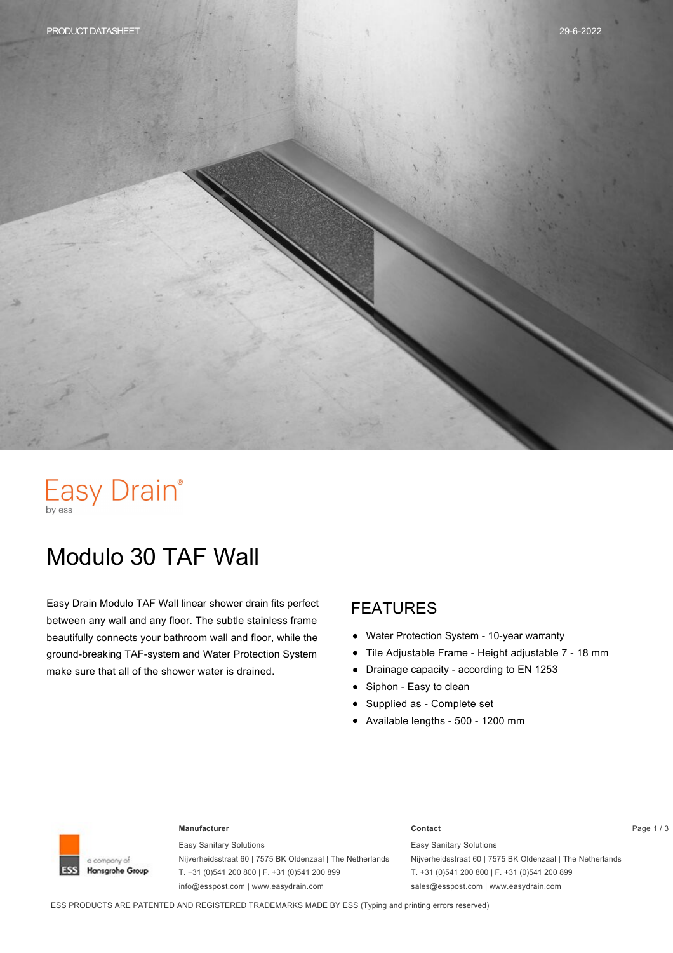# Easy Drain®

## Modulo 30 TAF Wall

Easy Drain Modulo TAF Wall linear shower drain fits perfect between any wall and any floor. The subtle stainless frame beautifully connects your bathroom wall and floor, while the ground-breaking TAF-system and Water Protection System make sure that all of the shower water is drained.

#### FEATURES

- $\bullet$ Water Protection System - 10-year warranty
- Tile Adjustable Frame Height adjustable 7 18 mm  $\bullet$
- Drainage capacity according to EN 1253  $\bullet$
- Siphon Easy to clean  $\bullet$
- Supplied as Complete set
- $\bullet$  Available lengths 500 1200 mm



#### **Manufacturer Contact** Page 1 / 3

Easy Sanitary Solutions Nijverheidsstraat 60 | 7575 BK Oldenzaal | The Netherlands T. +31 (0)541 200 800 | F. +31 (0)541 200 899 info@esspost.com | www.easydrain.com

Easy Sanitary Solutions Nijverheidsstraat 60 | 7575 BK Oldenzaal | The Netherlands T. +31 (0)541 200 800 | F. +31 (0)541 200 899 sales@esspost.com | www.easydrain.com

ESS PRODUCTS ARE PATENTED AND REGISTERED TRADEMARKS MADE BY ESS (Typing and printing errors reserved)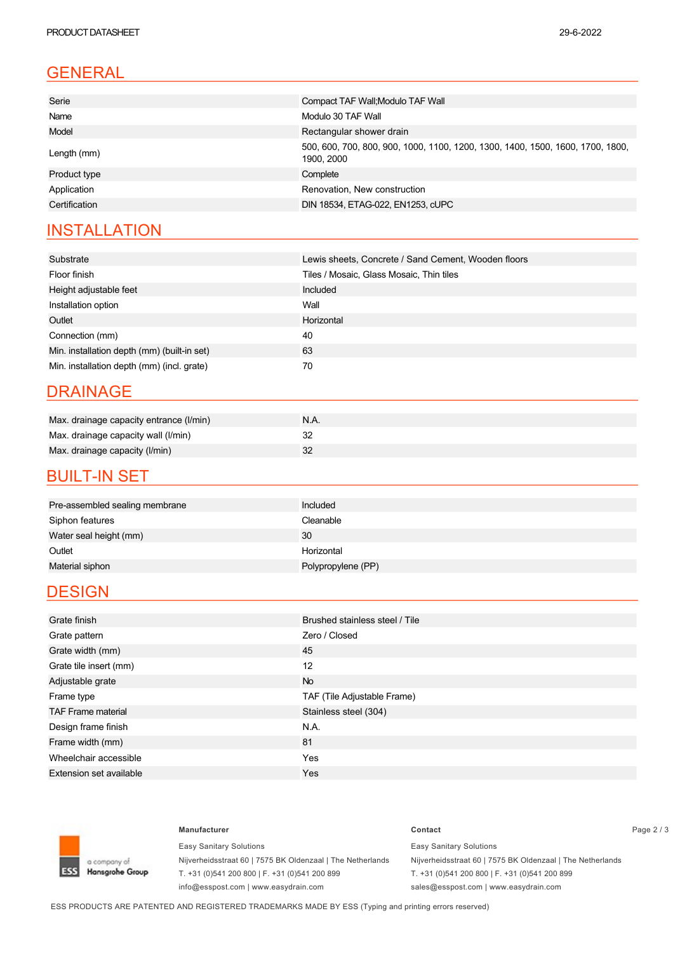| Serie         | Compact TAF Wall; Modulo TAF Wall                                                            |  |  |
|---------------|----------------------------------------------------------------------------------------------|--|--|
| Name          | Modulo 30 TAF Wall                                                                           |  |  |
| Model         | Rectangular shower drain                                                                     |  |  |
| Length (mm)   | 500, 600, 700, 800, 900, 1000, 1100, 1200, 1300, 1400, 1500, 1600, 1700, 1800,<br>1900. 2000 |  |  |
| Product type  | Complete                                                                                     |  |  |
| Application   | Renovation, New construction                                                                 |  |  |
| Certification | DIN 18534, ETAG-022, EN1253, cUPC                                                            |  |  |

### **INSTALLATION**

| Substrate                                   | Lewis sheets, Concrete / Sand Cement, Wooden floors |  |  |
|---------------------------------------------|-----------------------------------------------------|--|--|
| Floor finish                                | Tiles / Mosaic, Glass Mosaic, Thin tiles            |  |  |
| Height adjustable feet                      | Included                                            |  |  |
| Installation option                         | Wall                                                |  |  |
| Outlet                                      | Horizontal                                          |  |  |
| Connection (mm)                             | 40                                                  |  |  |
| Min. installation depth (mm) (built-in set) | 63                                                  |  |  |
| Min. installation depth (mm) (incl. grate)  | 70                                                  |  |  |

#### DRAINAGE

| Max. drainage capacity entrance (I/min) | N.A. |
|-----------------------------------------|------|
| Max. drainage capacity wall (I/min)     | ັ    |
| Max. drainage capacity (I/min)          |      |

#### **BUILT-IN SET**

| Pre-assembled sealing membrane | Included           |
|--------------------------------|--------------------|
| Siphon features                | Cleanable          |
| Water seal height (mm)         | 30                 |
| Outlet                         | Horizontal         |
| Material siphon                | Polypropylene (PP) |

#### **DESIGN**

| Grate finish                   | Brushed stainless steel / Tile |  |  |
|--------------------------------|--------------------------------|--|--|
|                                |                                |  |  |
| Grate pattern                  | Zero / Closed                  |  |  |
| Grate width (mm)               | 45                             |  |  |
| Grate tile insert (mm)         | 12                             |  |  |
| Adjustable grate               | <b>No</b>                      |  |  |
| Frame type                     | TAF (Tile Adjustable Frame)    |  |  |
| <b>TAF Frame material</b>      | Stainless steel (304)          |  |  |
| Design frame finish            | N.A.                           |  |  |
| Frame width (mm)               | 81                             |  |  |
| Wheelchair accessible          | Yes                            |  |  |
| <b>Extension set available</b> | Yes                            |  |  |



Easy Sanitary Solutions Nijverheidsstraat 60 | 7575 BK Oldenzaal | The Netherlands T. +31 (0)541 200 800 | F. +31 (0)541 200 899 info@esspost.com | www.easydrain.com

#### **Manufacturer Contact** Page 2 / 3 Easy Sanitary Solutions Nijverheidsstraat 60 | 7575 BK Oldenzaal | The Netherlands

T. +31 (0)541 200 800 | F. +31 (0)541 200 899 sales@esspost.com | www.easydrain.com

ESS PRODUCTS ARE PATENTED AND REGISTERED TRADEMARKS MADE BY ESS (Typing and printing errors reserved)